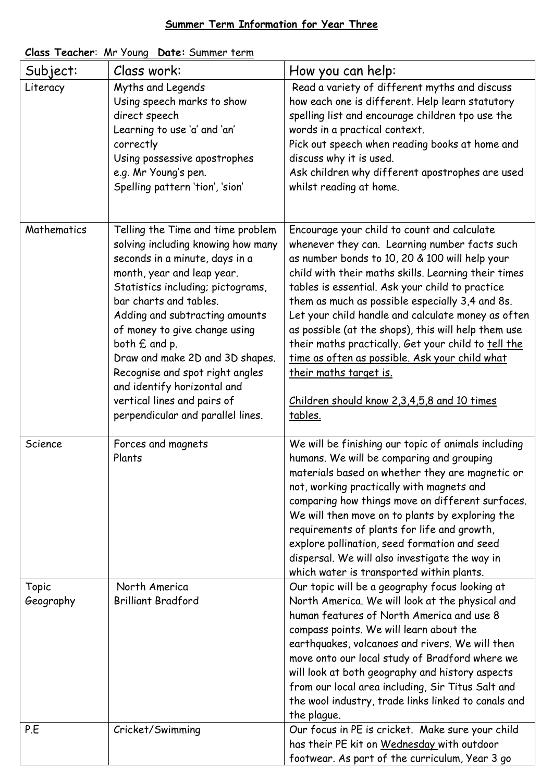## **Summer Term Information for Year Three**

| Subject:    | Class work:                        | How you can help:                                   |
|-------------|------------------------------------|-----------------------------------------------------|
| Literacy    | Myths and Legends                  | Read a variety of different myths and discuss       |
|             | Using speech marks to show         | how each one is different. Help learn statutory     |
|             | direct speech                      | spelling list and encourage children tpo use the    |
|             | Learning to use 'a' and 'an'       | words in a practical context.                       |
|             | correctly                          | Pick out speech when reading books at home and      |
|             | Using possessive apostrophes       | discuss why it is used.                             |
|             | e.g. Mr Young's pen.               | Ask children why different apostrophes are used     |
|             | Spelling pattern 'tion', 'sion'    | whilst reading at home.                             |
|             |                                    |                                                     |
|             |                                    |                                                     |
| Mathematics | Telling the Time and time problem  | Encourage your child to count and calculate         |
|             | solving including knowing how many | whenever they can. Learning number facts such       |
|             | seconds in a minute, days in a     | as number bonds to 10, 20 & 100 will help your      |
|             | month, year and leap year.         | child with their maths skills. Learning their times |
|             | Statistics including; pictograms,  | tables is essential. Ask your child to practice     |
|             | bar charts and tables.             | them as much as possible especially 3,4 and 8s.     |
|             | Adding and subtracting amounts     | Let your child handle and calculate money as often  |
|             | of money to give change using      | as possible (at the shops), this will help them use |
|             | both $E$ and p.                    | their maths practically. Get your child to tell the |
|             | Draw and make 2D and 3D shapes.    | time as often as possible. Ask your child what      |
|             | Recognise and spot right angles    | <u>their maths target is.</u>                       |
|             | and identify horizontal and        |                                                     |
|             | vertical lines and pairs of        | Children should know 2,3,4,5,8 and 10 times         |
|             | perpendicular and parallel lines.  | tables.                                             |
|             |                                    |                                                     |
| Science     | Forces and magnets                 | We will be finishing our topic of animals including |
|             | Plants                             | humans. We will be comparing and grouping           |
|             |                                    | materials based on whether they are magnetic or     |
|             |                                    | not, working practically with magnets and           |
|             |                                    | comparing how things move on different surfaces.    |
|             |                                    | We will then move on to plants by exploring the     |
|             |                                    | requirements of plants for life and growth,         |
|             |                                    | explore pollination, seed formation and seed        |
|             |                                    | dispersal. We will also investigate the way in      |
|             |                                    | which water is transported within plants.           |
| Topic       | North America                      | Our topic will be a geography focus looking at      |
| Geography   | <b>Brilliant Bradford</b>          | North America. We will look at the physical and     |
|             |                                    | human features of North America and use 8           |
|             |                                    | compass points. We will learn about the             |
|             |                                    | earthquakes, volcanoes and rivers. We will then     |
|             |                                    | move onto our local study of Bradford where we      |
|             |                                    | will look at both geography and history aspects     |
|             |                                    | from our local area including, Sir Titus Salt and   |
|             |                                    | the wool industry, trade links linked to canals and |
|             |                                    | the plague.                                         |
| P.E         | Cricket/Swimming                   | Our focus in PE is cricket. Make sure your child    |
|             |                                    | has their PE kit on Wednesday with outdoor          |
|             |                                    | footwear. As part of the curriculum, Year 3 go      |

## **Class Teacher**: Mr Young **Date:** Summer term